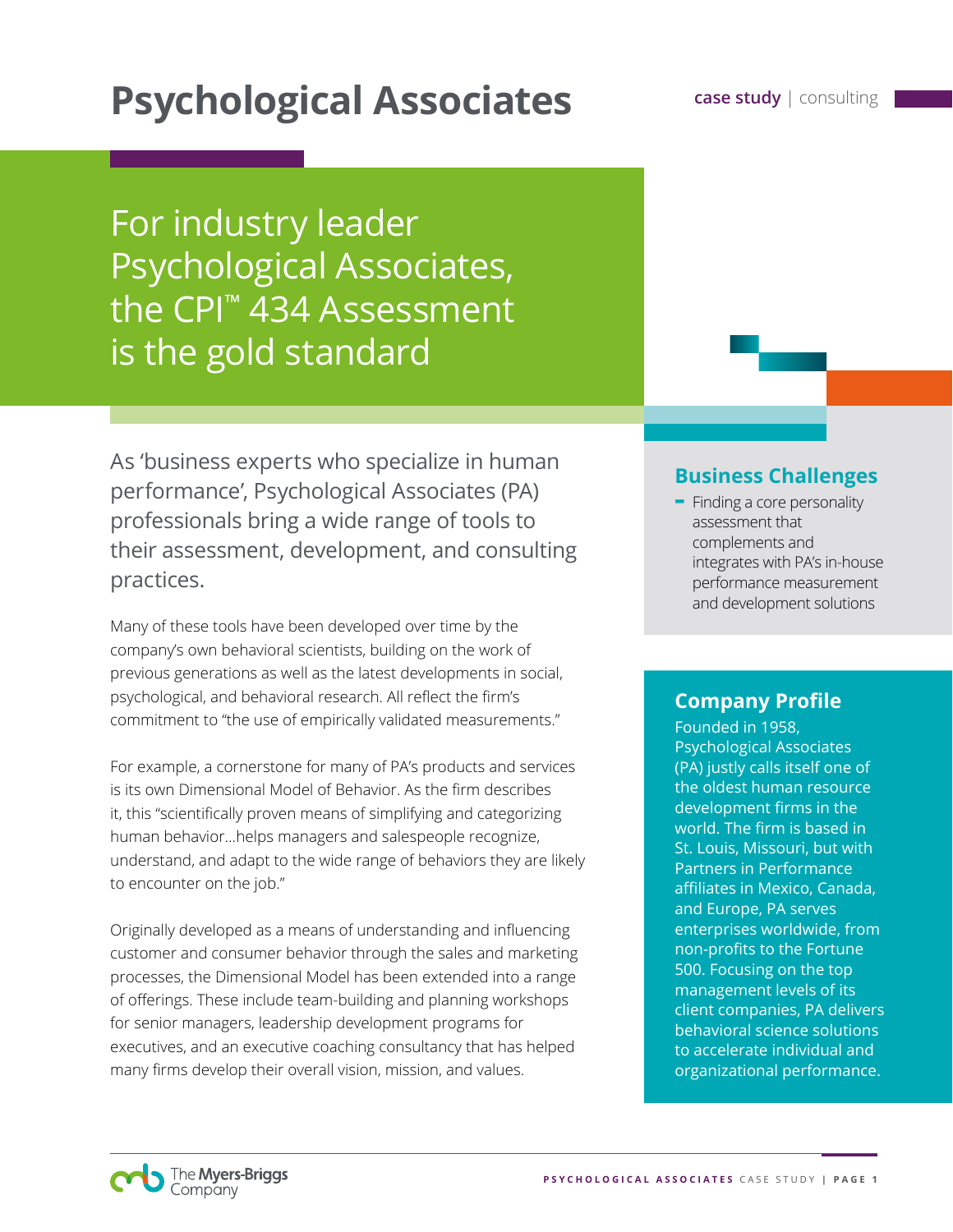# **Psychological Associates case study | consulting**

For industry leader Psychological Associates, the CPI™ 434 Assessment is the gold standard

As 'business experts who specialize in human performance', Psychological Associates (PA) professionals bring a wide range of tools to their assessment, development, and consulting practices.

Many of these tools have been developed over time by the company's own behavioral scientists, building on the work of previous generations as well as the latest developments in social, psychological, and behavioral research. All reflect the firm's commitment to "the use of empirically validated measurements."

For example, a cornerstone for many of PA's products and services is its own Dimensional Model of Behavior. As the firm describes it, this "scientifically proven means of simplifying and categorizing human behavior…helps managers and salespeople recognize, understand, and adapt to the wide range of behaviors they are likely to encounter on the job."

Originally developed as a means of understanding and influencing customer and consumer behavior through the sales and marketing processes, the Dimensional Model has been extended into a range of offerings. These include team-building and planning workshops for senior managers, leadership development programs for executives, and an executive coaching consultancy that has helped many firms develop their overall vision, mission, and values.

### **Business Challenges**

**-** Finding a core personality assessment that complements and integrates with PA's in-house performance measurement and development solutions

### **Company Profile**

Founded in 1958, Psychological Associates (PA) justly calls itself one of the oldest human resource development firms in the world. The firm is based in St. Louis, Missouri, but with Partners in Performance affiliates in Mexico, Canada, and Europe, PA serves enterprises worldwide, from non-profits to the Fortune 500. Focusing on the top management levels of its client companies, PA delivers behavioral science solutions to accelerate individual and organizational performance.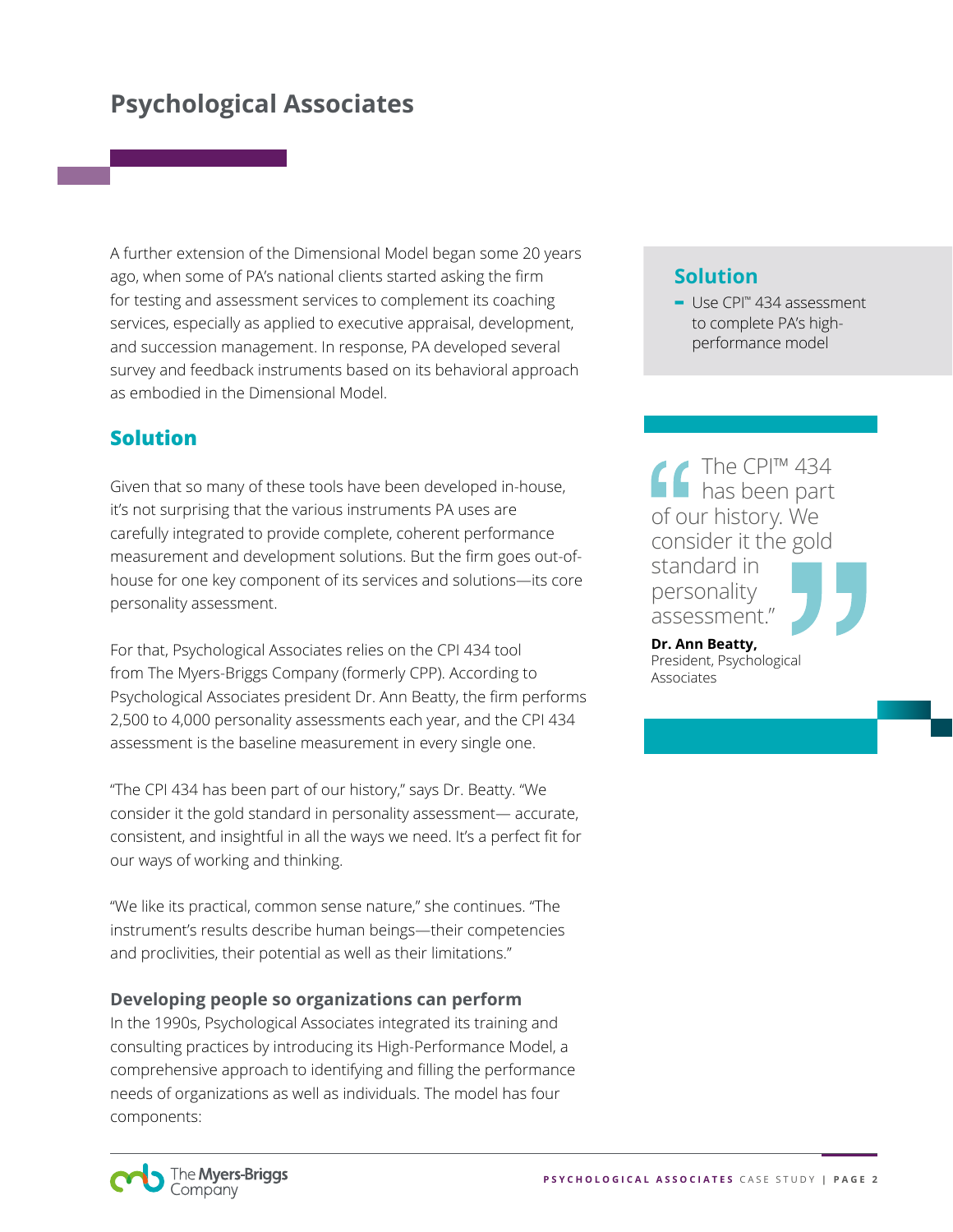A further extension of the Dimensional Model began some 20 years ago, when some of PA's national clients started asking the firm for testing and assessment services to complement its coaching services, especially as applied to executive appraisal, development, and succession management. In response, PA developed several survey and feedback instruments based on its behavioral approach as embodied in the Dimensional Model.

### **Solution**

Given that so many of these tools have been developed in-house, it's not surprising that the various instruments PA uses are carefully integrated to provide complete, coherent performance measurement and development solutions. But the firm goes out-ofhouse for one key component of its services and solutions—its core personality assessment.

For that, Psychological Associates relies on the CPI 434 tool from The Myers-Briggs Company (formerly CPP). According to Psychological Associates president Dr. Ann Beatty, the firm performs 2,500 to 4,000 personality assessments each year, and the CPI 434 assessment is the baseline measurement in every single one.

"The CPI 434 has been part of our history," says Dr. Beatty. "We consider it the gold standard in personality assessment— accurate, consistent, and insightful in all the ways we need. It's a perfect fit for our ways of working and thinking.

"We like its practical, common sense nature," she continues. "The instrument's results describe human beings—their competencies and proclivities, their potential as well as their limitations."

#### **Developing people so organizations can perform**

In the 1990s, Psychological Associates integrated its training and consulting practices by introducing its High-Performance Model, a comprehensive approach to identifying and filling the performance needs of organizations as well as individuals. The model has four components:

### **Solution**

**-** Use CPI™ 434 assessment to complete PA's highperformance model

The CPI™ 434 has been part of our history. We consider it the gold standard in personality assessment."

**Dr. Ann Beatty,**  President, Psychological Associates

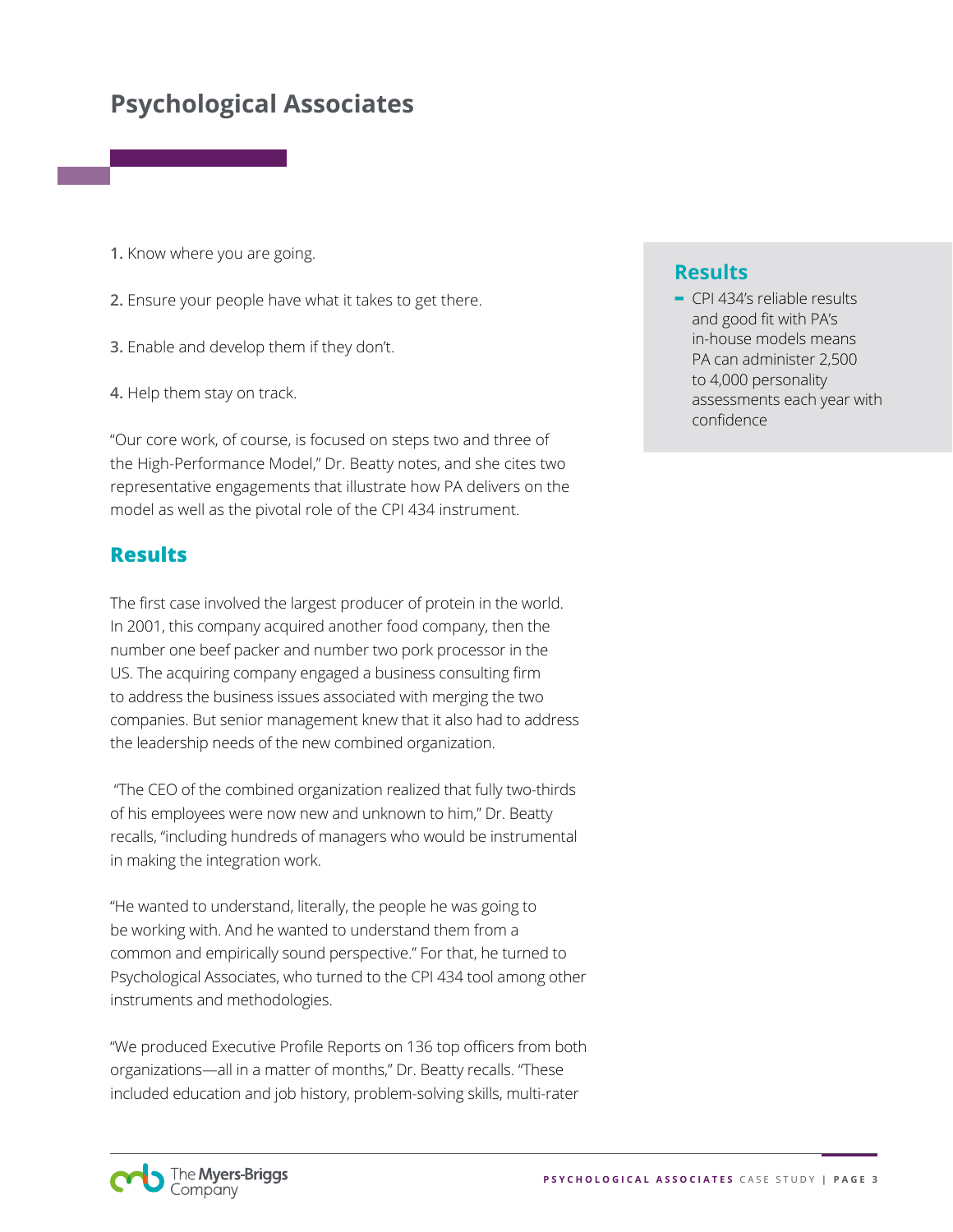- **1.** Know where you are going.
- **2.** Ensure your people have what it takes to get there.
- **3.** Enable and develop them if they don't.
- **4.** Help them stay on track.

"Our core work, of course, is focused on steps two and three of the High-Performance Model," Dr. Beatty notes, and she cites two representative engagements that illustrate how PA delivers on the model as well as the pivotal role of the CPI 434 instrument.

#### **Results**

The first case involved the largest producer of protein in the world. In 2001, this company acquired another food company, then the number one beef packer and number two pork processor in the US. The acquiring company engaged a business consulting firm to address the business issues associated with merging the two companies. But senior management knew that it also had to address the leadership needs of the new combined organization.

 "The CEO of the combined organization realized that fully two-thirds of his employees were now new and unknown to him," Dr. Beatty recalls, "including hundreds of managers who would be instrumental in making the integration work.

"He wanted to understand, literally, the people he was going to be working with. And he wanted to understand them from a common and empirically sound perspective." For that, he turned to Psychological Associates, who turned to the CPI 434 tool among other instruments and methodologies.

"We produced Executive Profile Reports on 136 top officers from both organizations—all in a matter of months," Dr. Beatty recalls. "These included education and job history, problem-solving skills, multi-rater

#### **Results**

**-** CPI 434's reliable results and good fit with PA's in-house models means PA can administer 2,500 to 4,000 personality assessments each year with confidence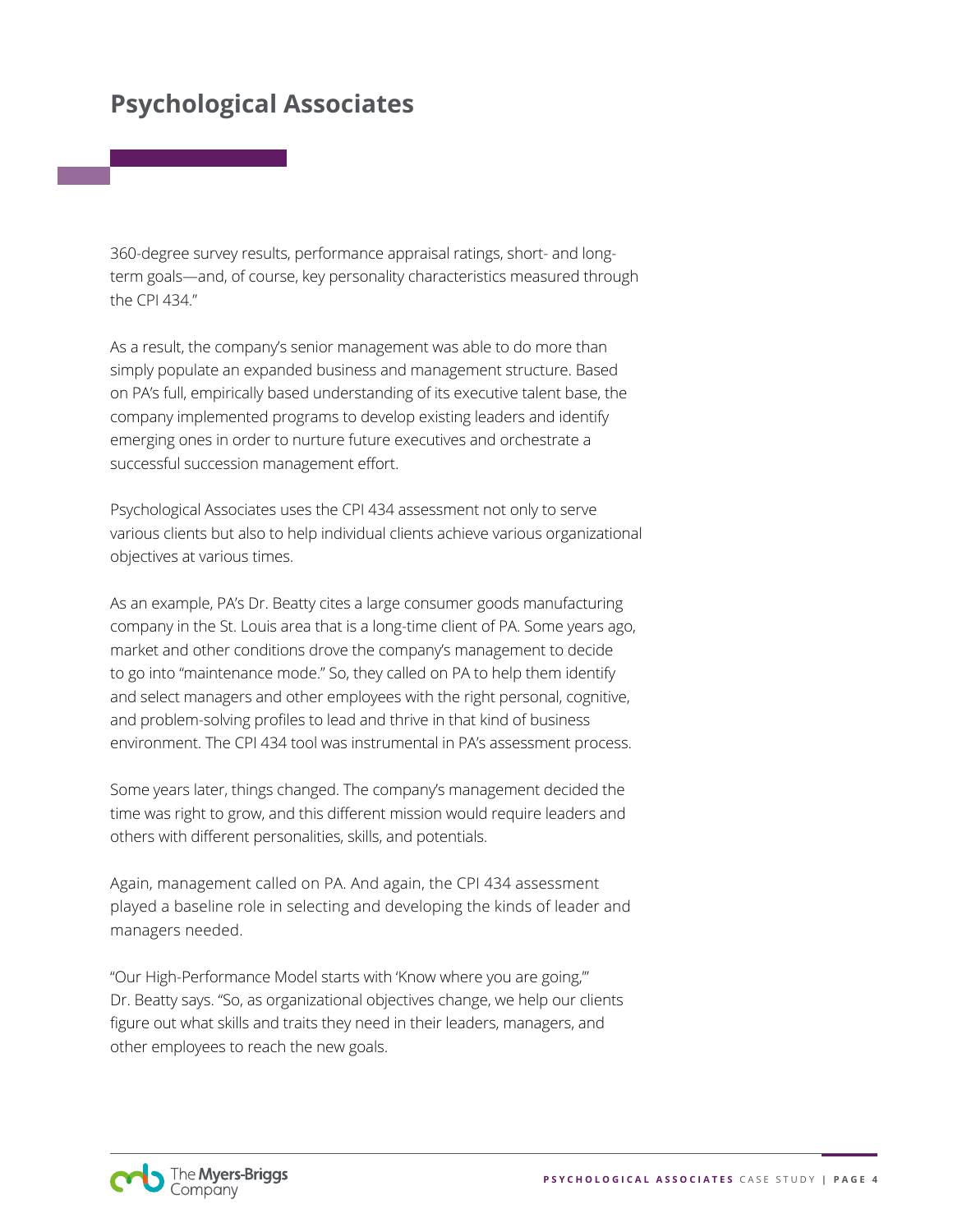360-degree survey results, performance appraisal ratings, short- and longterm goals—and, of course, key personality characteristics measured through the CPI 434."

As a result, the company's senior management was able to do more than simply populate an expanded business and management structure. Based on PA's full, empirically based understanding of its executive talent base, the company implemented programs to develop existing leaders and identify emerging ones in order to nurture future executives and orchestrate a successful succession management effort.

Psychological Associates uses the CPI 434 assessment not only to serve various clients but also to help individual clients achieve various organizational objectives at various times.

As an example, PA's Dr. Beatty cites a large consumer goods manufacturing company in the St. Louis area that is a long-time client of PA. Some years ago, market and other conditions drove the company's management to decide to go into "maintenance mode." So, they called on PA to help them identify and select managers and other employees with the right personal, cognitive, and problem-solving profiles to lead and thrive in that kind of business environment. The CPI 434 tool was instrumental in PA's assessment process.

Some years later, things changed. The company's management decided the time was right to grow, and this different mission would require leaders and others with different personalities, skills, and potentials.

Again, management called on PA. And again, the CPI 434 assessment played a baseline role in selecting and developing the kinds of leader and managers needed.

"Our High-Performance Model starts with 'Know where you are going,'" Dr. Beatty says. "So, as organizational objectives change, we help our clients figure out what skills and traits they need in their leaders, managers, and other employees to reach the new goals.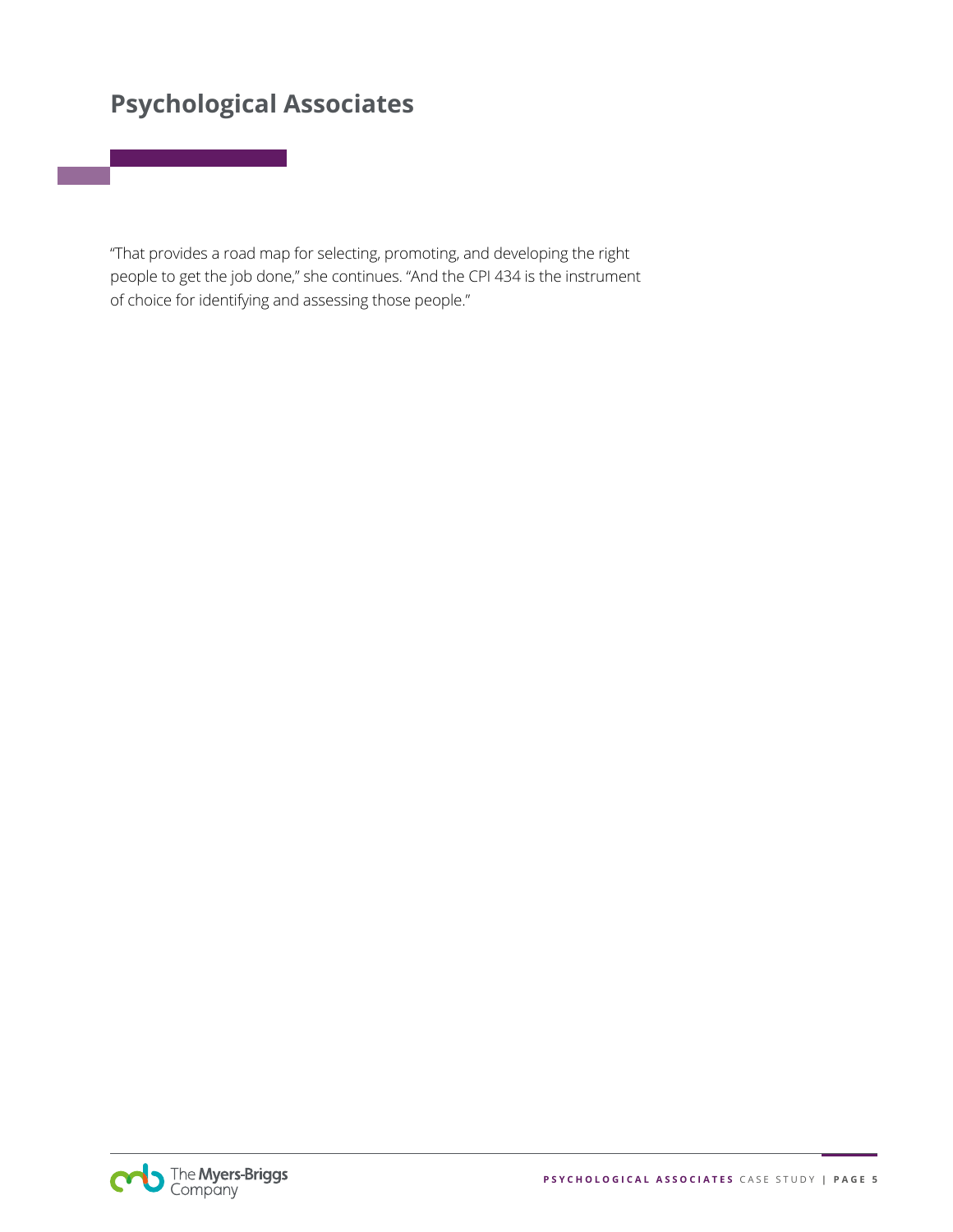"That provides a road map for selecting, promoting, and developing the right people to get the job done," she continues. "And the CPI 434 is the instrument of choice for identifying and assessing those people."